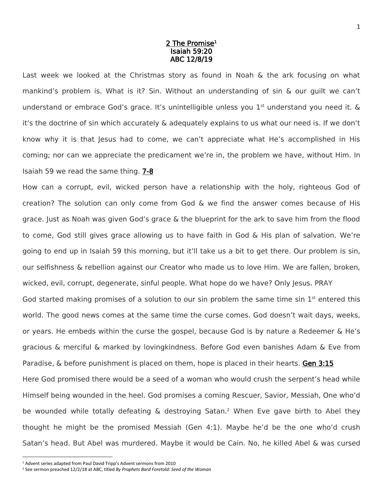#### <u>2 The Promise $^{\rm 1}$ </u> Isaiah 59:20 ABC 12/8/19

Last week we looked at the Christmas story as found in Noah & the ark focusing on what mankind's problem is. What is it? Sin. Without an understanding of sin & our guilt we can't understand or embrace God's grace. It's unintelligible unless you  $1<sup>st</sup>$  understand you need it.  $\&$ it's the doctrine of sin which accurately & adequately explains to us what our need is. If we don't know why it is that Jesus had to come, we can't appreciate what He's accomplished in His coming; nor can we appreciate the predicament we're in, the problem we have, without Him. In Isaiah 59 we read the same thing. 7-8

How can a corrupt, evil, wicked person have a relationship with the holy, righteous God of creation? The solution can only come from God & we find the answer comes because of His grace. Just as Noah was given God's grace & the blueprint for the ark to save him from the flood to come, God still gives grace allowing us to have faith in God & His plan of salvation. We're going to end up in Isaiah 59 this morning, but it'll take us a bit to get there. Our problem is sin, our selfishness & rebellion against our Creator who made us to love Him. We are fallen, broken, wicked, evil, corrupt, degenerate, sinful people. What hope do we have? Only Jesus. PRAY God started making promises of a solution to our sin problem the same time sin  $1<sup>st</sup>$  entered this world. The good news comes at the same time the curse comes. God doesn't wait days, weeks, or years. He embeds within the curse the gospel, because God is by nature a Redeemer & He's gracious & merciful & marked by lovingkindness. Before God even banishes Adam & Eve from Paradise, & before punishment is placed on them, hope is placed in their hearts. Gen 3:15 Here God promised there would be a seed of a woman who would crush the serpent's head while Himself being wounded in the heel. God promises a coming Rescuer, Savior, Messiah, One who'd be wounded while totally defeating & destroying Satan. <sup>2</sup> When Eve gave birth to Abel they thought he might be the promised Messiah (Gen 4:1). Maybe he'd be the one who'd crush Satan's head. But Abel was murdered. Maybe it would be Cain. No, he killed Abel & was cursed

 $\overline{\phantom{a}}$ 

<sup>1</sup> Advent series adapted from Paul David Tripp's Advent sermons from 2010

<sup>2</sup> See sermon preached 12/2/18 at ABC, titled *By Prophets Bard Foretold: Seed of the Woman*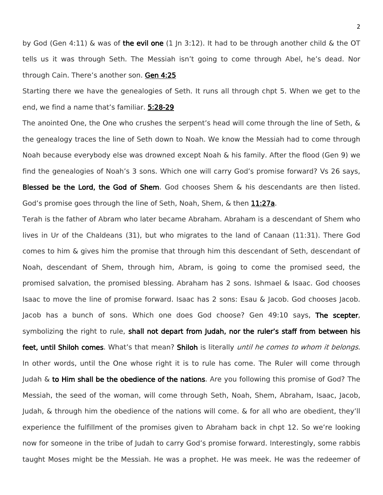by God (Gen 4:11)  $\&$  was of the evil one (1 In 3:12). It had to be through another child  $\&$  the OT tells us it was through Seth. The Messiah isn't going to come through Abel, he's dead. Nor through Cain. There's another son. Gen 4:25

Starting there we have the genealogies of Seth. It runs all through chpt 5. When we get to the end, we find a name that's familiar. 5:28-29

The anointed One, the One who crushes the serpent's head will come through the line of Seth, & the genealogy traces the line of Seth down to Noah. We know the Messiah had to come through Noah because everybody else was drowned except Noah & his family. After the flood (Gen 9) we find the genealogies of Noah's 3 sons. Which one will carry God's promise forward? Vs 26 says, Blessed be the Lord, the God of Shem. God chooses Shem & his descendants are then listed. God's promise goes through the line of Seth, Noah, Shem, & then 11:27a.

Terah is the father of Abram who later became Abraham. Abraham is a descendant of Shem who lives in Ur of the Chaldeans (31), but who migrates to the land of Canaan (11:31). There God comes to him & gives him the promise that through him this descendant of Seth, descendant of Noah, descendant of Shem, through him, Abram, is going to come the promised seed, the promised salvation, the promised blessing. Abraham has 2 sons. Ishmael & Isaac. God chooses Isaac to move the line of promise forward. Isaac has 2 sons: Esau & Jacob. God chooses Jacob. Jacob has a bunch of sons. Which one does God choose? Gen 49:10 says, The scepter, symbolizing the right to rule, shall not depart from Judah, nor the ruler's staff from between his feet, until Shiloh comes. What's that mean? Shiloh is literally until he comes to whom it belongs. In other words, until the One whose right it is to rule has come. The Ruler will come through Judah  $\&$  to Him shall be the obedience of the nations. Are you following this promise of God? The Messiah, the seed of the woman, will come through Seth, Noah, Shem, Abraham, Isaac, Jacob, Judah, & through him the obedience of the nations will come. & for all who are obedient, they'll experience the fulfillment of the promises given to Abraham back in chpt 12. So we're looking now for someone in the tribe of Judah to carry God's promise forward. Interestingly, some rabbis taught Moses might be the Messiah. He was a prophet. He was meek. He was the redeemer of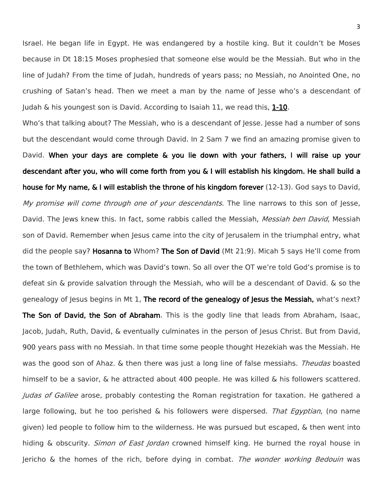Israel. He began life in Egypt. He was endangered by a hostile king. But it couldn't be Moses because in Dt 18:15 Moses prophesied that someone else would be the Messiah. But who in the line of Judah? From the time of Judah, hundreds of years pass; no Messiah, no Anointed One, no crushing of Satan's head. Then we meet a man by the name of Jesse who's a descendant of Judah & his youngest son is David. According to Isaiah 11, we read this, 1-10.

Who's that talking about? The Messiah, who is a descendant of Jesse. Jesse had a number of sons but the descendant would come through David. In 2 Sam 7 we find an amazing promise given to David. When your days are complete & you lie down with your fathers, I will raise up your descendant after you, who will come forth from you & I will establish his kingdom. He shall build a house for My name, & I will establish the throne of his kingdom forever (12-13). God says to David, My promise will come through one of your descendants. The line narrows to this son of Jesse, David. The Jews knew this. In fact, some rabbis called the Messiah, Messiah ben David, Messiah son of David. Remember when Jesus came into the city of Jerusalem in the triumphal entry, what did the people say? Hosanna to Whom? The Son of David (Mt 21:9). Micah 5 says He'll come from the town of Bethlehem, which was David's town. So all over the OT we're told God's promise is to defeat sin & provide salvation through the Messiah, who will be a descendant of David. & so the genealogy of Jesus begins in Mt 1, The record of the genealogy of Jesus the Messiah, what's next? The Son of David, the Son of Abraham. This is the godly line that leads from Abraham, Isaac, Jacob, Judah, Ruth, David, & eventually culminates in the person of Jesus Christ. But from David, 900 years pass with no Messiah. In that time some people thought Hezekiah was the Messiah. He was the good son of Ahaz. & then there was just a long line of false messiahs. Theudas boasted himself to be a savior, & he attracted about 400 people. He was killed & his followers scattered. Judas of Galilee arose, probably contesting the Roman registration for taxation. He gathered a large following, but he too perished & his followers were dispersed. That Egyptian, (no name given) led people to follow him to the wilderness. He was pursued but escaped, & then went into hiding & obscurity. *Simon of East Jordan* crowned himself king. He burned the royal house in Jericho & the homes of the rich, before dying in combat. The wonder working Bedouin was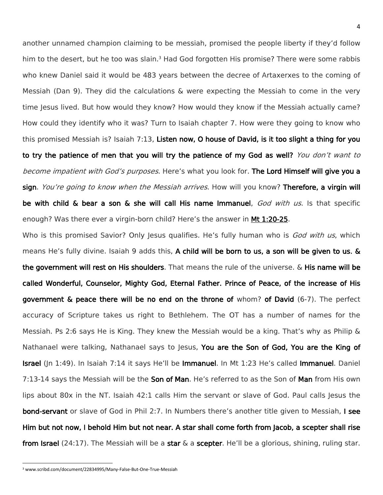another unnamed champion claiming to be messiah, promised the people liberty if they'd follow him to the desert, but he too was slain.<sup>3</sup> Had God forgotten His promise? There were some rabbis who knew Daniel said it would be 483 years between the decree of Artaxerxes to the coming of Messiah (Dan 9). They did the calculations & were expecting the Messiah to come in the very time Jesus lived. But how would they know? How would they know if the Messiah actually came? How could they identify who it was? Turn to Isaiah chapter 7. How were they going to know who this promised Messiah is? Isaiah 7:13, Listen now, O house of David, is it too slight a thing for you to try the patience of men that you will try the patience of my God as well? You don't want to become impatient with God's purposes. Here's what you look for. The Lord Himself will give you a sign. You're going to know when the Messiah arrives. How will you know? Therefore, a virgin will be with child & bear a son & she will call His name Immanuel, God with us. Is that specific enough? Was there ever a virgin-born child? Here's the answer in Mt 1:20-25.

Who is this promised Savior? Only Jesus qualifies. He's fully human who is *God with us*, which means He's fully divine. Isaiah 9 adds this, A child will be born to us, a son will be given to us. & the government will rest on His shoulders. That means the rule of the universe. & His name will be called Wonderful, Counselor, Mighty God, Eternal Father. Prince of Peace, of the increase of His government & peace there will be no end on the throne of whom? of David (6-7). The perfect accuracy of Scripture takes us right to Bethlehem. The OT has a number of names for the Messiah. Ps 2:6 says He is King. They knew the Messiah would be a king. That's why as Philip & Nathanael were talking, Nathanael says to Jesus, You are the Son of God, You are the King of Israel (Jn 1:49). In Isaiah 7:14 it says He'll be Immanuel. In Mt 1:23 He's called Immanuel. Daniel 7:13-14 says the Messiah will be the Son of Man. He's referred to as the Son of Man from His own lips about 80x in the NT. Isaiah 42:1 calls Him the servant or slave of God. Paul calls Jesus the bond-servant or slave of God in Phil 2:7. In Numbers there's another title given to Messiah, I see Him but not now, I behold Him but not near. A star shall come forth from Jacob, a scepter shall rise from Israel (24:17). The Messiah will be a star  $\&$  a scepter. He'll be a glorious, shining, ruling star.

 $\overline{\phantom{a}}$ 

<sup>3</sup> www.scribd.com/document/22834995/Many-False-But-One-True-Messiah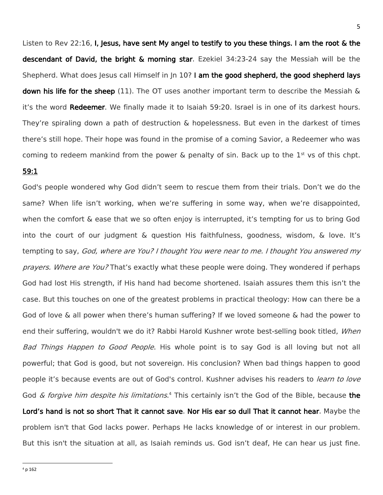Listen to Rev 22:16, I, Jesus, have sent My angel to testify to you these things. I am the root & the descendant of David, the bright & morning star. Ezekiel 34:23-24 say the Messiah will be the Shepherd. What does Jesus call Himself in Jn 10? I am the good shepherd, the good shepherd lays down his life for the sheep  $(11)$ . The OT uses another important term to describe the Messiah & it's the word Redeemer. We finally made it to Isaiah 59:20. Israel is in one of its darkest hours. They're spiraling down a path of destruction  $\&$  hopelessness. But even in the darkest of times there's still hope. Their hope was found in the promise of a coming Savior, a Redeemer who was coming to redeem mankind from the power & penalty of sin. Back up to the  $1<sup>st</sup>$  vs of this chpt.

# 59:1

God's people wondered why God didn't seem to rescue them from their trials. Don't we do the same? When life isn't working, when we're suffering in some way, when we're disappointed, when the comfort & ease that we so often enjoy is interrupted, it's tempting for us to bring God into the court of our judgment & question His faithfulness, goodness, wisdom, & love. It's tempting to say, God, where are You? I thought You were near to me. I thought You answered my prayers. Where are You? That's exactly what these people were doing. They wondered if perhaps God had lost His strength, if His hand had become shortened. Isaiah assures them this isn't the case. But this touches on one of the greatest problems in practical theology: How can there be a God of love & all power when there's human suffering? If we loved someone & had the power to end their suffering, wouldn't we do it? Rabbi Harold Kushner wrote best-selling book titled, When Bad Things Happen to Good People. His whole point is to say God is all loving but not all powerful; that God is good, but not sovereign. His conclusion? When bad things happen to good people it's because events are out of God's control. Kushner advises his readers to *learn to love* God & forgive him despite his limitations.<sup>4</sup> This certainly isn't the God of the Bible, because the Lord's hand is not so short That it cannot save. Nor His ear so dull That it cannot hear. Maybe the problem isn't that God lacks power. Perhaps He lacks knowledge of or interest in our problem. But this isn't the situation at all, as Isaiah reminds us. God isn't deaf, He can hear us just fine.

 $\overline{\phantom{a}}$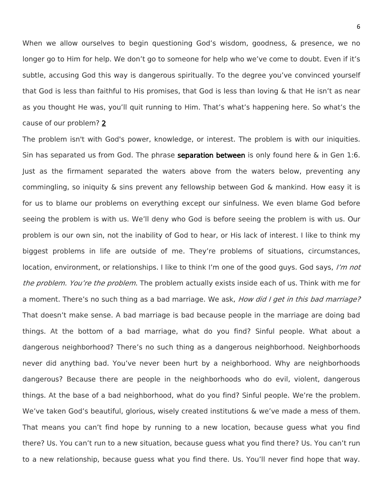When we allow ourselves to begin questioning God's wisdom, goodness, & presence, we no longer go to Him for help. We don't go to someone for help who we've come to doubt. Even if it's subtle, accusing God this way is dangerous spiritually. To the degree you've convinced yourself that God is less than faithful to His promises, that God is less than loving & that He isn't as near as you thought He was, you'll quit running to Him. That's what's happening here. So what's the cause of our problem? 2

The problem isn't with God's power, knowledge, or interest. The problem is with our iniquities. Sin has separated us from God. The phrase **separation between** is only found here  $\&$  in Gen 1:6. Just as the firmament separated the waters above from the waters below, preventing any commingling, so iniquity & sins prevent any fellowship between God & mankind. How easy it is for us to blame our problems on everything except our sinfulness. We even blame God before seeing the problem is with us. We'll deny who God is before seeing the problem is with us. Our problem is our own sin, not the inability of God to hear, or His lack of interest. I like to think my biggest problems in life are outside of me. They're problems of situations, circumstances, location, environment, or relationships. I like to think I'm one of the good guys. God says, I'm not the problem. You're the problem. The problem actually exists inside each of us. Think with me for a moment. There's no such thing as a bad marriage. We ask, How did I get in this bad marriage? That doesn't make sense. A bad marriage is bad because people in the marriage are doing bad things. At the bottom of a bad marriage, what do you find? Sinful people. What about a dangerous neighborhood? There's no such thing as a dangerous neighborhood. Neighborhoods never did anything bad. You've never been hurt by a neighborhood. Why are neighborhoods dangerous? Because there are people in the neighborhoods who do evil, violent, dangerous things. At the base of a bad neighborhood, what do you find? Sinful people. We're the problem. We've taken God's beautiful, glorious, wisely created institutions & we've made a mess of them. That means you can't find hope by running to a new location, because guess what you find there? Us. You can't run to a new situation, because guess what you find there? Us. You can't run to a new relationship, because guess what you find there. Us. You'll never find hope that way.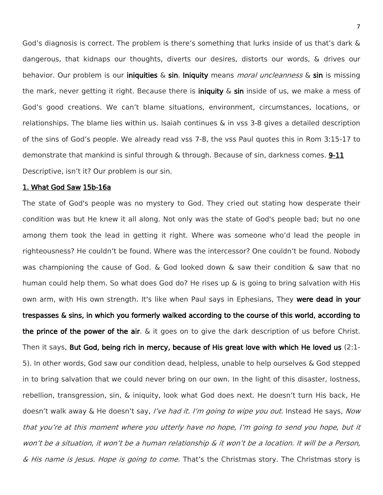God's diagnosis is correct. The problem is there's something that lurks inside of us that's dark & dangerous, that kidnaps our thoughts, diverts our desires, distorts our words, & drives our behavior. Our problem is our iniquities  $\&$  sin. Iniquity means *moral uncleanness*  $\&$  sin is missing the mark, never getting it right. Because there is **iniquity**  $\&$  sin inside of us, we make a mess of God's good creations. We can't blame situations, environment, circumstances, locations, or relationships. The blame lies within us. Isaiah continues & in vss 3-8 gives a detailed description of the sins of God's people. We already read vss 7-8, the vss Paul quotes this in Rom 3:15-17 to demonstrate that mankind is sinful through & through. Because of sin, darkness comes. 9-11 Descriptive, isn't it? Our problem is our sin.

## 1. What God Saw 15b-16a

The state of God's people was no mystery to God. They cried out stating how desperate their condition was but He knew it all along. Not only was the state of God's people bad; but no one among them took the lead in getting it right. Where was someone who'd lead the people in righteousness? He couldn't be found. Where was the intercessor? One couldn't be found. Nobody was championing the cause of God. & God looked down & saw their condition & saw that no human could help them. So what does God do? He rises up & is going to bring salvation with His own arm, with His own strength. It's like when Paul says in Ephesians, They were dead in your trespasses & sins, in which you formerly walked according to the course of this world, according to the prince of the power of the air.  $\&$  it goes on to give the dark description of us before Christ. Then it says, But God, being rich in mercy, because of His great love with which He loved us (2:1- 5). In other words, God saw our condition dead, helpless, unable to help ourselves & God stepped in to bring salvation that we could never bring on our own. In the light of this disaster, lostness, rebellion, transgression, sin, & iniquity, look what God does next. He doesn't turn His back, He doesn't walk away & He doesn't say, *I've had it. I'm going to wipe you out*. Instead He says, Now that you're at this moment where you utterly have no hope, I'm going to send you hope, but it won't be a situation, it won't be a human relationship & it won't be a location. It will be a Person, & *His name is Jesus. Hope is going to come*. That's the Christmas story. The Christmas story is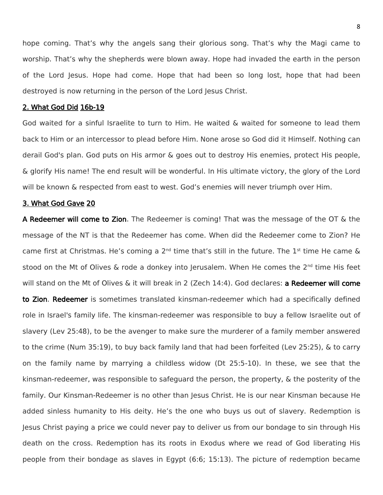hope coming. That's why the angels sang their glorious song. That's why the Magi came to worship. That's why the shepherds were blown away. Hope had invaded the earth in the person of the Lord Jesus. Hope had come. Hope that had been so long lost, hope that had been destroyed is now returning in the person of the Lord Jesus Christ.

#### 2. What God Did 16b-19

God waited for a sinful Israelite to turn to Him. He waited & waited for someone to lead them back to Him or an intercessor to plead before Him. None arose so God did it Himself. Nothing can derail God's plan. God puts on His armor & goes out to destroy His enemies, protect His people, & glorify His name! The end result will be wonderful. In His ultimate victory, the glory of the Lord will be known & respected from east to west. God's enemies will never triumph over Him.

### 3. What God Gave 20

A Redeemer will come to Zion. The Redeemer is coming! That was the message of the OT & the message of the NT is that the Redeemer has come. When did the Redeemer come to Zion? He came first at Christmas. He's coming a 2<sup>nd</sup> time that's still in the future. The 1<sup>st</sup> time He came  $\&$ stood on the Mt of Olives & rode a donkey into Jerusalem. When He comes the 2<sup>nd</sup> time His feet will stand on the Mt of Olives & it will break in 2 (Zech 14:4). God declares: a Redeemer will come to Zion. Redeemer is sometimes translated kinsman-redeemer which had a specifically defined role in Israel's family life. The kinsman-redeemer was responsible to buy a fellow Israelite out of slavery (Lev 25:48), to be the avenger to make sure the murderer of a family member answered to the crime (Num 35:19), to buy back family land that had been forfeited (Lev 25:25), & to carry on the family name by marrying a childless widow (Dt 25:5-10). In these, we see that the kinsman-redeemer, was responsible to safeguard the person, the property, & the posterity of the family. Our Kinsman-Redeemer is no other than Jesus Christ. He is our near Kinsman because He added sinless humanity to His deity. He's the one who buys us out of slavery. Redemption is Jesus Christ paying a price we could never pay to deliver us from our bondage to sin through His death on the cross. Redemption has its roots in Exodus where we read of God liberating His people from their bondage as slaves in Egypt (6:6; 15:13). The picture of redemption became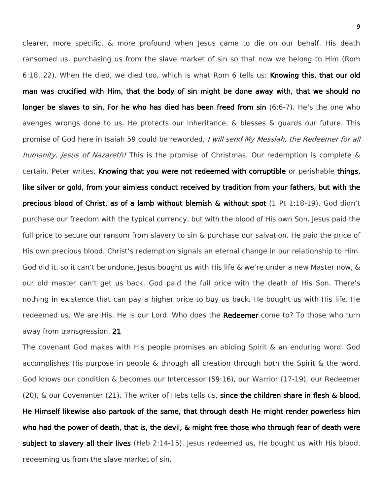clearer, more specific, & more profound when Jesus came to die on our behalf. His death ransomed us, purchasing us from the slave market of sin so that now we belong to Him (Rom 6:18, 22). When He died, we died too, which is what Rom 6 tells us: Knowing this, that our old man was crucified with Him, that the body of sin might be done away with, that we should no longer be slaves to sin. For he who has died has been freed from sin (6:6-7). He's the one who avenges wrongs done to us. He protects our inheritance, & blesses & guards our future. This promise of God here in Isaiah 59 could be reworded, *I will send My Messiah, the Redeemer for all* humanity, Jesus of Nazareth! This is the promise of Christmas. Our redemption is complete & certain. Peter writes, Knowing that you were not redeemed with corruptible or perishable things, like silver or gold, from your aimless conduct received by tradition from your fathers, but with the precious blood of Christ, as of a lamb without blemish & without spot (1 Pt 1:18-19). God didn't purchase our freedom with the typical currency, but with the blood of His own Son. Jesus paid the full price to secure our ransom from slavery to sin & purchase our salvation. He paid the price of His own precious blood. Christ's redemption signals an eternal change in our relationship to Him. God did it, so it can't be undone. Jesus bought us with His life & we're under a new Master now, & our old master can't get us back. God paid the full price with the death of His Son. There's nothing in existence that can pay a higher price to buy us back. He bought us with His life. He redeemed us. We are His. He is our Lord. Who does the Redeemer come to? To those who turn away from transgression. 21

The covenant God makes with His people promises an abiding Spirit & an enduring word. God accomplishes His purpose in people & through all creation through both the Spirit & the word. God knows our condition & becomes our Intercessor (59:16), our Warrior (17-19), our Redeemer (20), & our Covenanter (21). The writer of Hebs tells us, since the children share in flesh & blood, He Himself likewise also partook of the same, that through death He might render powerless him who had the power of death, that is, the devil, & might free those who through fear of death were subject to slavery all their lives (Heb 2:14-15). Jesus redeemed us, He bought us with His blood, redeeming us from the slave market of sin.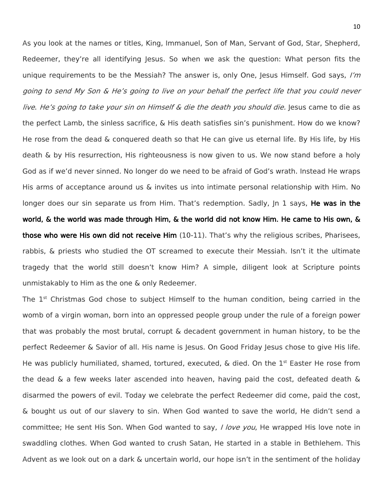As you look at the names or titles, King, Immanuel, Son of Man, Servant of God, Star, Shepherd, Redeemer, they're all identifying Jesus. So when we ask the question: What person fits the unique requirements to be the Messiah? The answer is, only One, Jesus Himself. God says,  $I'm$ going to send My Son & He's going to live on your behalf the perfect life that you could never live. He's going to take your sin on Himself & die the death you should die. Jesus came to die as the perfect Lamb, the sinless sacrifice, & His death satisfies sin's punishment. How do we know? He rose from the dead & conquered death so that He can give us eternal life. By His life, by His death & by His resurrection, His righteousness is now given to us. We now stand before a holy God as if we'd never sinned. No longer do we need to be afraid of God's wrath. Instead He wraps His arms of acceptance around us & invites us into intimate personal relationship with Him. No longer does our sin separate us from Him. That's redemption. Sadly, In 1 says, He was in the world, & the world was made through Him, & the world did not know Him. He came to His own, & those who were His own did not receive Him (10-11). That's why the religious scribes, Pharisees, rabbis, & priests who studied the OT screamed to execute their Messiah. Isn't it the ultimate tragedy that the world still doesn't know Him? A simple, diligent look at Scripture points unmistakably to Him as the one & only Redeemer.

The  $1<sup>st</sup>$  Christmas God chose to subject Himself to the human condition, being carried in the womb of a virgin woman, born into an oppressed people group under the rule of a foreign power that was probably the most brutal, corrupt & decadent government in human history, to be the perfect Redeemer & Savior of all. His name is Jesus. On Good Friday Jesus chose to give His life. He was publicly humiliated, shamed, tortured, executed, & died. On the 1<sup>st</sup> Easter He rose from the dead & a few weeks later ascended into heaven, having paid the cost, defeated death & disarmed the powers of evil. Today we celebrate the perfect Redeemer did come, paid the cost, & bought us out of our slavery to sin. When God wanted to save the world, He didn't send a committee; He sent His Son. When God wanted to say, *I love you*, He wrapped His love note in swaddling clothes. When God wanted to crush Satan, He started in a stable in Bethlehem. This Advent as we look out on a dark & uncertain world, our hope isn't in the sentiment of the holiday